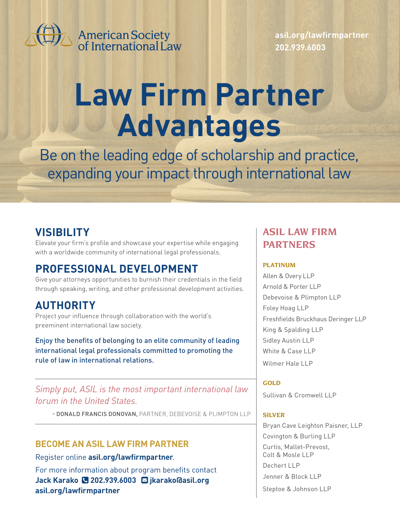

American Society<br>of International Law

**[asil.org/lawfirmpartner](http://asil.org/lawfirmpartner) 202.939.6003**

# **Law Firm Partner Advantages**

Be on the leading edge of scholarship and practice, expanding your impact through international law

## **VISIBILITY**

Elevate your firm's profile and showcase your expertise while engaging with a worldwide community of international legal professionals.

## **PROFESSIONAL DEVELOPMENT**

Give your attorneys opportunities to burnish their credentials in the field through speaking, writing, and other professional development activities.

## **AUTHORITY**

Project your influence through collaboration with the world's preeminent international law society.

Enjoy the benefits of belonging to an elite community of leading international legal professionals committed to promoting the rule of law in international relations.

*Simply put, ASIL is the most important international law forum in the United States.*

- DONALD FRANCIS DONOVAN, PARTNER, DEBEVOISE & PLIMPTON LLP

#### **BECOME AN ASIL LAW FIRM PARTNER**

Register online **asil.org/lawfirmpartner**. For more information about program benefits contact **Jack Karako 202.939.6003 [jkarako@asil.org](mailto:jkarako%40asil.org?subject=) [asil.org/lawfirmpartner](http://asil.org/lawfirmpartner)**

### **ASIL LAW FIRM PARTNERS**

#### **PLATINUM**

Allen & Overy LLP Arnold & Porter LLP Debevoise & Plimpton LLP Foley Hoag LLP Freshfields Bruckhaus Deringer LLP King & Spalding LLP Sidley Austin LLP White & Case LLP Wilmer Hale LLP

**GOLD** Sullivan & Cromwell | | P

#### **SILVER**

Bryan Cave Leighton Paisner, LLP Covington & Burling LLP Curtis, Mallet-Prevost, Colt & Mosle LLP Dechert LLP Jenner & Block LLP Steptoe & Johnson LLP